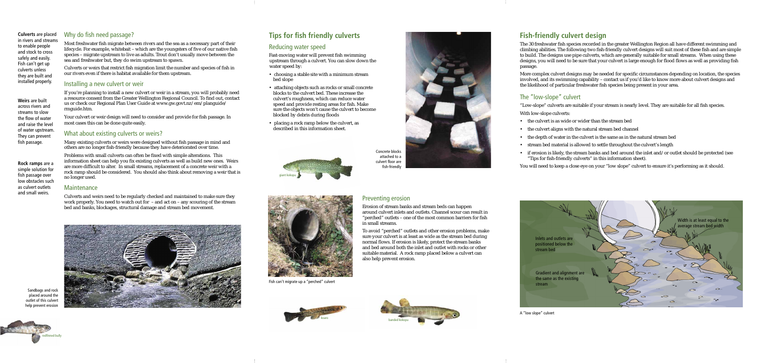





# **Tips for fish friendly culverts**

#### **Weirs** are built across rivers and streams to slow the flow of water and raise the level of water upstream. They can prevent fish passage.

**Culverts** are placed in rivers and streams to enable people and stock to cross safely and easily. Fish can't get up culverts unless they are built and installed properly.

Most freshwater fish migrate between rivers and the sea as a necessary part of their lifecycle. For example, whitebait – which are the youngsters of five of our native fish species – migrate upstream to live as adults. Trout don't usually move between the sea and freshwater but, they do swim upstream to spawn.

Culverts or weirs that restrict fish migration limit the number and species of fish in our rivers even if there is habitat available for them upstream.

Your culvert or weir design will need to consider and provide for fish passage. In most cases this can be done quite easily.

#### Installing a new culvert or weir

Problems with small culverts can often be fixed with simple alterations. This information sheet can help you fix existing culverts as well as build new ones. Weirs are more difficult to alter. In small streams, replacement of a concrete weir with a rock ramp should be considered. You should also think about removing a weir that is no longer used.

#### **Maintenance**

If you're planning to install a new culvert or weir in a stream, you will probably need a resource consent from the Greater Wellington Regional Council. To find out, contact us or check our Regional Plan User Guide at www.gw.govt.nz/em/planguide/ rmguide.htm.

Fast-moving water will prevent fish swimming upstream through a culvert. You can slow down the water speed by:

#### What about existing culverts or weirs?

Many existing culverts or weirs were designed without fish passage in mind and others are no longer fish-friendly because they have deteriorated over time.

> To avoid "perched" outlets and other erosion problems, make sure your culvert is at least as wide as the stream bed during normal flows. If erosion is likely, protect the stream banks and bed around both the inlet and outlet with rocks or other suitable material. A rock ramp placed below a culvert can also help prevent erosion.



Concrete blocks attached to a culvert floor are fish-friendly

The 30 freshwater fish species recorded in the greater Wellington Region all have different swimming and climbing abilities. The following two fish-friendly culvert designs will suit most of these fish and are simple to build. The designs use pipe culverts, which are generally suitable for small streams. When using these designs, you will need to be sure that your culvert is large enough for flood flows as well as providing fish passage.

More complex culvert designs may be needed for specific circumstances depending on location, the species involved, and its swimming capability – contact us if you'd like to know more about culvert designs and the likelihood of particular freshwater fish species being present in your area.

Culverts and weirs need to be regularly checked and maintained to make sure they work properly. You need to watch out for – and act on – any scouring of the stream bed and banks, blockages, structural damage and stream bed movement.

#### Reducing water speed

- the culvert is as wide or wider than the stream bed
- the culvert aligns with the natural stream bed channel
- the depth of water in the culvert is the same as in the natural stream bed
- stream bed material is allowed to settle throughout the culvert's length
- if erosion is likely, the stream banks and bed around the inlet and/or outlet should be protected (see "Tips for fish-friendly culverts" in this information sheet).
- choosing a stable site with a minimum stream bed slope
- attaching objects such as rocks or small concrete blocks to the culvert bed. These increase the culvert's roughness, which can reduce water speed and provide resting areas for fish. Make sure the objects won't cause the culvert to become blocked by debris during floods
- placing a rock ramp below the culvert, as described in this information sheet.

#### Preventing erosion

Erosion of stream banks and stream beds can happen around culvert inlets and outlets. Channel scour can result in "perched" outlets - one of the most common barriers for fish in small streams.



Sandbags and rock placed around the outlet of this culvert help prevent erosion



Fish can't migrate up a "perched" culvert

![](_page_0_Picture_27.jpeg)

# **Fish-friendly culvert design**

### The "low-slope" culvert

"Low-slope" culverts are suitable if your stream is nearly level. They are suitable for all fish species.

With low-slope culverts:

You will need to keep a close eye on your "low slope" culvert to ensure it's performing as it should.

A "low slope" culvert

![](_page_0_Picture_46.jpeg)

**Rock ramps** are a simple solution for fish passage over low obstacles such as culvert outlets and small weirs.

#### Why do fish need passage?